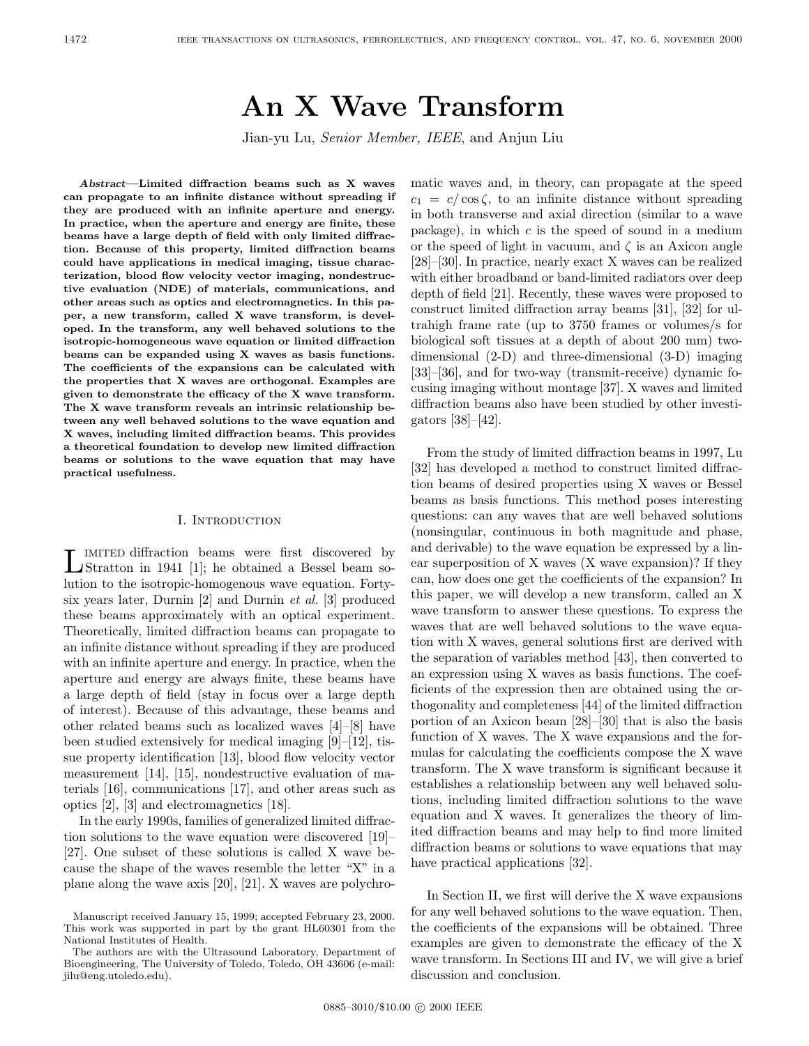# **An X Wave Transform**

Jian-yu Lu, Senior Member, IEEE, and Anjun Liu

*Abstract***—Limited diffraction beams such as X waves can propagate to an infinite distance without spreading if they are produced with an infinite aperture and energy. In practice, when the aperture and energy are finite, these beams have a large depth of field with only limited diffraction. Because of this property, limited diffraction beams could have applications in medical imaging, tissue characterization, blood flow velocity vector imaging, nondestructive evaluation (NDE) of materials, communications, and other areas such as optics and electromagnetics. In this paper, a new transform, called X wave transform, is developed. In the transform, any well behaved solutions to the isotropic-homogeneous wave equation or limited diffraction beams can be expanded using X waves as basis functions. The coefficients of the expansions can be calculated with the properties that X waves are orthogonal. Examples are given to demonstrate the efficacy of the X wave transform. The X wave transform reveals an intrinsic relationship between any well behaved solutions to the wave equation and X waves, including limited diffraction beams. This provides a theoretical foundation to develop new limited diffraction beams or solutions to the wave equation that may have practical usefulness.**

## I. Introduction

Limited diffraction beams were first discovered by Stratton in 1941 [1]; he obtained a Bessel beam solution to the isotropic-homogenous wave equation. Fortysix years later, Durnin [2] and Durnin et al. [3] produced these beams approximately with an optical experiment. Theoretically, limited diffraction beams can propagate to an infinite distance without spreading if they are produced with an infinite aperture and energy. In practice, when the aperture and energy are always finite, these beams have a large depth of field (stay in focus over a large depth of interest). Because of this advantage, these beams and other related beams such as localized waves [4]–[8] have been studied extensively for medical imaging [9]–[12], tissue property identification [13], blood flow velocity vector measurement [14], [15], nondestructive evaluation of materials [16], communications [17], and other areas such as optics [2], [3] and electromagnetics [18].

In the early 1990s, families of generalized limited diffraction solutions to the wave equation were discovered [19]– [27]. One subset of these solutions is called X wave because the shape of the waves resemble the letter "X" in a plane along the wave axis [20], [21]. X waves are polychro-

matic waves and, in theory, can propagate at the speed  $c_1 = c/\cos\zeta$ , to an infinite distance without spreading in both transverse and axial direction (similar to a wave package), in which  $c$  is the speed of sound in a medium or the speed of light in vacuum, and  $\zeta$  is an Axicon angle [28]–[30]. In practice, nearly exact X waves can be realized with either broadband or band-limited radiators over deep depth of field [21]. Recently, these waves were proposed to construct limited diffraction array beams [31], [32] for ultrahigh frame rate (up to 3750 frames or volumes/s for biological soft tissues at a depth of about 200 mm) twodimensional (2-D) and three-dimensional (3-D) imaging [33]–[36], and for two-way (transmit-receive) dynamic focusing imaging without montage [37]. X waves and limited diffraction beams also have been studied by other investigators [38]–[42].

From the study of limited diffraction beams in 1997, Lu [32] has developed a method to construct limited diffraction beams of desired properties using X waves or Bessel beams as basis functions. This method poses interesting questions: can any waves that are well behaved solutions (nonsingular, continuous in both magnitude and phase, and derivable) to the wave equation be expressed by a linear superposition of X waves (X wave expansion)? If they can, how does one get the coefficients of the expansion? In this paper, we will develop a new transform, called an X wave transform to answer these questions. To express the waves that are well behaved solutions to the wave equation with X waves, general solutions first are derived with the separation of variables method [43], then converted to an expression using X waves as basis functions. The coefficients of the expression then are obtained using the orthogonality and completeness [44] of the limited diffraction portion of an Axicon beam [28]–[30] that is also the basis function of X waves. The X wave expansions and the formulas for calculating the coefficients compose the X wave transform. The X wave transform is significant because it establishes a relationship between any well behaved solutions, including limited diffraction solutions to the wave equation and X waves. It generalizes the theory of limited diffraction beams and may help to find more limited diffraction beams or solutions to wave equations that may have practical applications [32].

In Section II, we first will derive the X wave expansions for any well behaved solutions to the wave equation. Then, the coefficients of the expansions will be obtained. Three examples are given to demonstrate the efficacy of the X wave transform. In Sections III and IV, we will give a brief discussion and conclusion.

Manuscript received January 15, 1999; accepted February 23, 2000. This work was supported in part by the grant HL60301 from the National Institutes of Health.

The authors are with the Ultrasound Laboratory, Department of Bioengineering, The University of Toledo, Toledo, OH 43606 (e-mail: jilu@eng.utoledo.edu).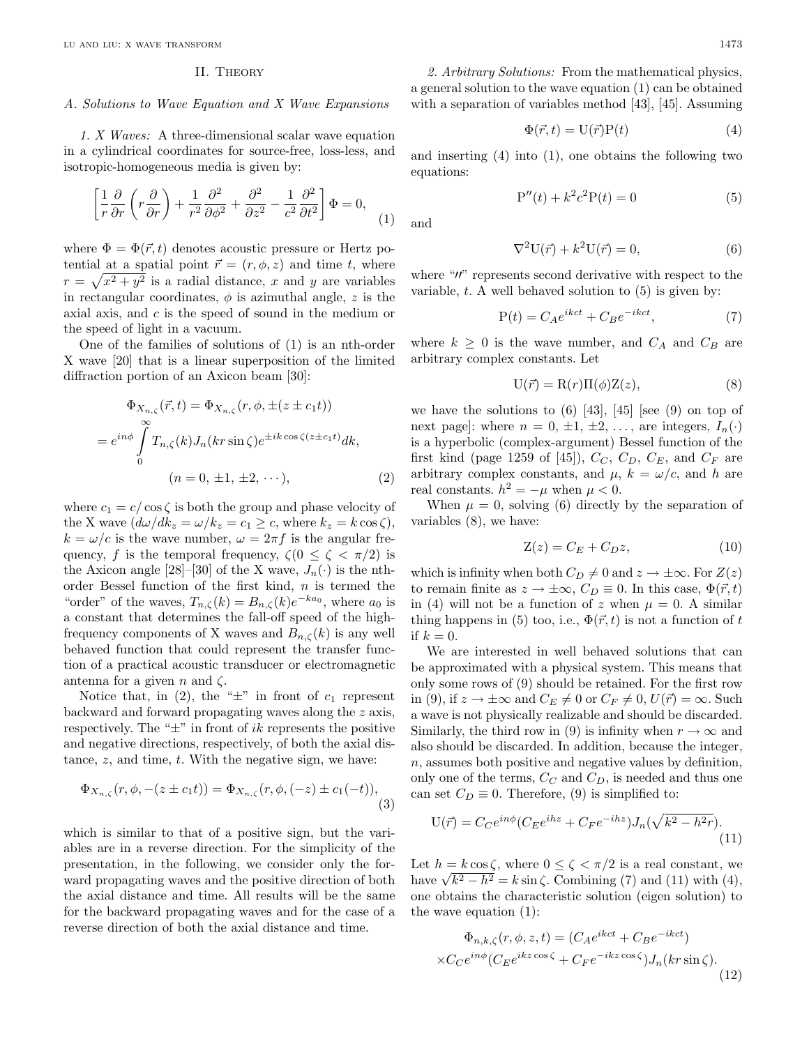#### II. Theory

#### A. Solutions to Wave Equation and X Wave Expansions

1. X Waves: A three-dimensional scalar wave equation in a cylindrical coordinates for source-free, loss-less, and isotropic-homogeneous media is given by:

$$
\left[\frac{1}{r}\frac{\partial}{\partial r}\left(r\frac{\partial}{\partial r}\right) + \frac{1}{r^2}\frac{\partial^2}{\partial \phi^2} + \frac{\partial^2}{\partial z^2} - \frac{1}{c^2}\frac{\partial^2}{\partial t^2}\right]\Phi = 0, \tag{1}
$$

where  $\Phi = \Phi(\vec{r}, t)$  denotes acoustic pressure or Hertz potential at a spatial point  $\vec{r} = (r, \phi, z)$  and time t, where  $r = \sqrt{x^2 + y^2}$  is a radial distance, x and y are variables in rectangular coordinates,  $\phi$  is azimuthal angle, z is the axial axis, and c is the speed of sound in the medium or the speed of light in a vacuum.

One of the families of solutions of (1) is an nth-order X wave [20] that is a linear superposition of the limited diffraction portion of an Axicon beam [30]:

$$
\Phi_{X_{n,\zeta}}(\vec{r},t) = \Phi_{X_{n,\zeta}}(r,\phi,\pm(z \pm c_1 t))
$$
\n
$$
= e^{in\phi} \int_{0}^{\infty} T_{n,\zeta}(k) J_n(kr \sin \zeta) e^{\pm ik \cos \zeta(z \pm c_1 t)} dk,
$$
\n
$$
(n = 0, \pm 1, \pm 2, \cdots), \tag{2}
$$

where  $c_1 = c/\cos\zeta$  is both the group and phase velocity of the X wave  $(d\omega/dk_z = \omega/k_z = c_1 \geq c$ , where  $k_z = k \cos \zeta$ ,  $k = \omega/c$  is the wave number,  $\omega = 2\pi f$  is the angular frequency, f is the temporal frequency,  $\zeta(0 \leq \zeta \leq \pi/2)$  is the Axicon angle [28]–[30] of the X wave,  $J_n(\cdot)$  is the nthorder Bessel function of the first kind,  $n$  is termed the "order" of the waves,  $T_{n,\zeta}(k) = B_{n,\zeta}(k)e^{-ka_0}$ , where  $a_0$  is a constant that determines the fall-off speed of the highfrequency components of X waves and  $B_{n,\zeta}(k)$  is any well behaved function that could represent the transfer function of a practical acoustic transducer or electromagnetic antenna for a given n and  $\zeta$ .

Notice that, in (2), the " $\pm$ " in front of  $c_1$  represent backward and forward propagating waves along the z axis, respectively. The " $\pm$ " in front of *ik* represents the positive and negative directions, respectively, of both the axial distance,  $z$ , and time,  $t$ . With the negative sign, we have:

$$
\Phi_{X_{n,\zeta}}(r,\phi,-(z \pm c_1 t)) = \Phi_{X_{n,\zeta}}(r,\phi,(-z) \pm c_1 (-t)),
$$
\n(3)

which is similar to that of a positive sign, but the variables are in a reverse direction. For the simplicity of the presentation, in the following, we consider only the forward propagating waves and the positive direction of both the axial distance and time. All results will be the same for the backward propagating waves and for the case of a reverse direction of both the axial distance and time.

2. Arbitrary Solutions: From the mathematical physics, a general solution to the wave equation (1) can be obtained with a separation of variables method [43], [45]. Assuming

$$
\Phi(\vec{r},t) = \mathcal{U}(\vec{r})\mathcal{P}(t) \tag{4}
$$

and inserting (4) into (1), one obtains the following two equations:

$$
P''(t) + k^2 c^2 P(t) = 0
$$
 (5)

and

$$
\nabla^2 \mathbf{U}(\vec{r}) + k^2 \mathbf{U}(\vec{r}) = 0,\tag{6}
$$

where " $\mu$ " represents second derivative with respect to the variable,  $t$ . A well behaved solution to  $(5)$  is given by:

$$
P(t) = C_A e^{ikct} + C_B e^{-ikct},\tag{7}
$$

where  $k \geq 0$  is the wave number, and  $C_A$  and  $C_B$  are arbitrary complex constants. Let

$$
U(\vec{r}) = R(r)\Pi(\phi)Z(z),\tag{8}
$$

we have the solutions to  $(6)$  [43], [45] [see (9) on top of next page]: where  $n = 0, \pm 1, \pm 2, \ldots$ , are integers,  $I_n(\cdot)$ is a hyperbolic (complex-argument) Bessel function of the first kind (page 1259 of [45]),  $C_C$ ,  $C_D$ ,  $C_E$ , and  $C_F$  are arbitrary complex constants, and  $\mu$ ,  $k = \omega/c$ , and h are real constants.  $h^2 = -\mu$  when  $\mu < 0$ .

When  $\mu = 0$ , solving (6) directly by the separation of variables (8), we have:

$$
Z(z) = C_E + C_D z,\t\t(10)
$$

which is infinity when both  $C_D \neq 0$  and  $z \to \pm \infty$ . For  $Z(z)$ to remain finite as  $z \to \pm \infty$ ,  $C_D \equiv 0$ . In this case,  $\Phi(\vec{r}, t)$ in (4) will not be a function of z when  $\mu = 0$ . A similar thing happens in (5) too, i.e.,  $\Phi(\vec{r},t)$  is not a function of t if  $k = 0$ .

We are interested in well behaved solutions that can be approximated with a physical system. This means that only some rows of (9) should be retained. For the first row in (9), if  $z \to \pm \infty$  and  $C_E \neq 0$  or  $C_F \neq 0$ ,  $U(\vec{r}) = \infty$ . Such a wave is not physically realizable and should be discarded. Similarly, the third row in (9) is infinity when  $r \to \infty$  and also should be discarded. In addition, because the integer,  $n$ , assumes both positive and negative values by definition, only one of the terms,  $C_C$  and  $C_D$ , is needed and thus one can set  $C_D \equiv 0$ . Therefore, (9) is simplified to:

$$
U(\vec{r}) = C_C e^{in\phi} (C_E e^{ihz} + C_F e^{-ihz}) J_n(\sqrt{k^2 - h^2 r}).
$$
\n(11)

Let  $h = k \cos \zeta$ , where  $0 \le \zeta < \pi/2$  is a real constant, we Let  $n = k \cos \zeta$ , where  $0 \le \zeta \le \pi/2$  is a real constant, we<br>have  $\sqrt{k^2 - h^2} = k \sin \zeta$ . Combining (7) and (11) with (4), one obtains the characteristic solution (eigen solution) to the wave equation (1):

$$
\Phi_{n,k,\zeta}(r,\phi,z,t) = (C_A e^{ikct} + C_B e^{-ikct})
$$
  
× $C_C e^{in\phi} (C_E e^{ikz \cos \zeta} + C_F e^{-ikz \cos \zeta}) J_n(kr \sin \zeta).$  (12)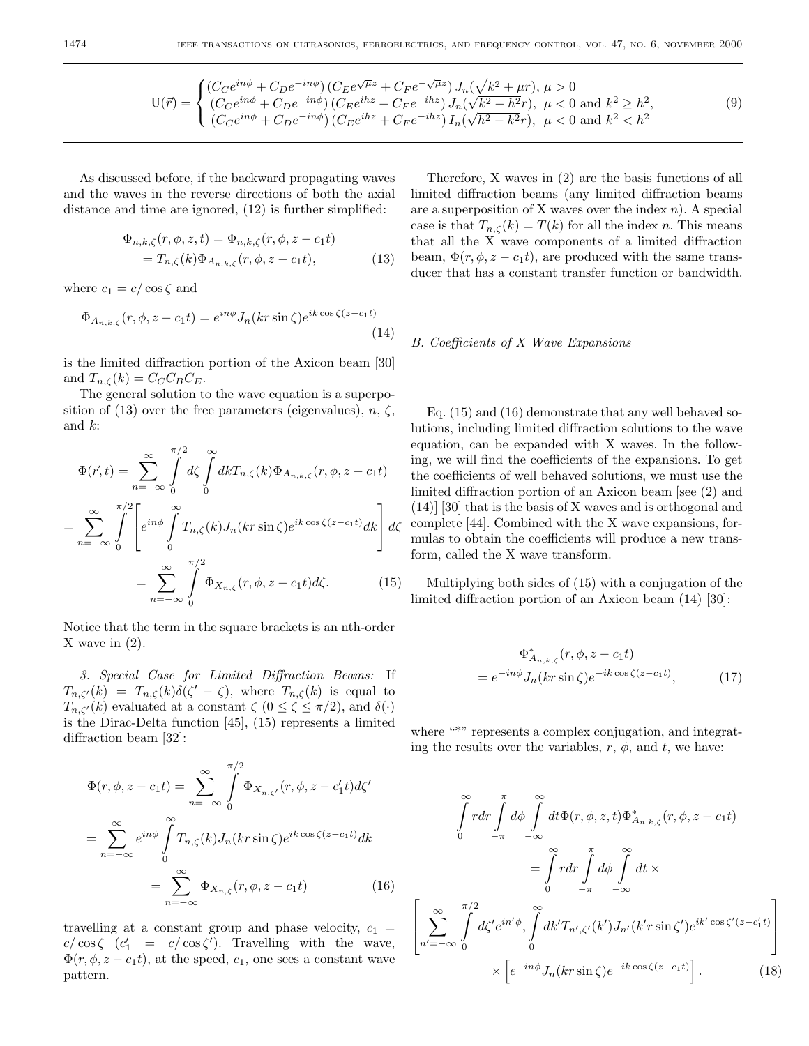$$
U(\vec{r}) = \begin{cases} (C_C e^{in\phi} + C_D e^{-in\phi}) \left( C_E e^{\sqrt{\mu}z} + C_F e^{-\sqrt{\mu}z} \right) J_n(\sqrt{k^2 + \mu}r), \ \mu > 0\\ (C_C e^{in\phi} + C_D e^{-in\phi}) \left( C_E e^{ihz} + C_F e^{-ihz} \right) J_n(\sqrt{k^2 - h^2}r), \ \mu < 0 \text{ and } k^2 \ge h^2, \\ (C_C e^{in\phi} + C_D e^{-in\phi}) \left( C_E e^{ihz} + C_F e^{-ihz} \right) I_n(\sqrt{h^2 - k^2}r), \ \mu < 0 \text{ and } k^2 < h^2 \end{cases} \tag{9}
$$

As discussed before, if the backward propagating waves and the waves in the reverse directions of both the axial distance and time are ignored, (12) is further simplified:

$$
\Phi_{n,k,\zeta}(r,\phi,z,t) = \Phi_{n,k,\zeta}(r,\phi,z-c_1t)
$$
  
=  $T_{n,\zeta}(k)\Phi_{A_{n,k,\zeta}}(r,\phi,z-c_1t),$  (13)

where  $c_1 = c / \cos \zeta$  and

$$
\Phi_{A_{n,k,\zeta}}(r,\phi,z-c_1t) = e^{in\phi}J_n(kr\sin\zeta)e^{ik\cos\zeta(z-c_1t)}\tag{14}
$$

is the limited diffraction portion of the Axicon beam [30] and  $T_{n,\zeta}(k) = C_C C_B C_E$ .

The general solution to the wave equation is a superposition of (13) over the free parameters (eigenvalues),  $n, \zeta$ , and k:

$$
\Phi(\vec{r},t) = \sum_{n=-\infty}^{\infty} \int_{0}^{\pi/2} d\zeta \int_{0}^{\infty} dk T_{n,\zeta}(k) \Phi_{A_{n,k,\zeta}}(r,\phi,z-c_1t)
$$

$$
= \sum_{n=-\infty}^{\infty} \int_{0}^{\pi/2} \left[ e^{in\phi} \int_{0}^{\infty} T_{n,\zeta}(k) J_n(kr\sin\zeta) e^{ik\cos\zeta(z-c_1t)} dk \right] d\zeta
$$

$$
= \sum_{n=-\infty}^{\infty} \int_{0}^{\pi/2} \Phi_{X_{n,\zeta}}(r,\phi,z-c_1t) d\zeta.
$$
(15)

Notice that the term in the square brackets is an nth-order X wave in (2).

3. Special Case for Limited Diffraction Beams: If  $T_{n,\zeta'}(k) = T_{n,\zeta}(k)\delta(\zeta' - \zeta)$ , where  $T_{n,\zeta}(k)$  is equal to  $T_{n,\zeta'}(k)$  evaluated at a constant  $\zeta$   $(0 \leq \zeta \leq \pi/2)$ , and  $\delta(\cdot)$ is the Dirac-Delta function [45], (15) represents a limited diffraction beam [32]:

$$
\Phi(r,\phi,z-c_1t) = \sum_{n=-\infty}^{\infty} \int_{0}^{\pi/2} \Phi_{X_{n,\zeta'}}(r,\phi,z-c'_1t)d\zeta'
$$

$$
= \sum_{n=-\infty}^{\infty} e^{in\phi} \int_{0}^{\infty} T_{n,\zeta}(k)J_n(kr\sin\zeta)e^{ik\cos\zeta(z-c_1t)}dk
$$

$$
= \sum_{n=-\infty}^{\infty} \Phi_{X_{n,\zeta}}(r,\phi,z-c_1t) \tag{16}
$$

travelling at a constant group and phase velocity,  $c_1$  =  $c/\cos\zeta$  ( $c'_1 = c/\cos\zeta'$ ). Travelling with the wave,  $\Phi(r, \phi, z - c_1 t)$ , at the speed,  $c_1$ , one sees a constant wave pattern.

Therefore, X waves in (2) are the basis functions of all limited diffraction beams (any limited diffraction beams are a superposition of X waves over the index  $n$ ). A special case is that  $T_{n,\zeta}(k) = T(k)$  for all the index n. This means that all the X wave components of a limited diffraction beam,  $\Phi(r, \phi, z - c_1 t)$ , are produced with the same transducer that has a constant transfer function or bandwidth.

## B. Coefficients of X Wave Expansions

Eq. (15) and (16) demonstrate that any well behaved solutions, including limited diffraction solutions to the wave equation, can be expanded with X waves. In the following, we will find the coefficients of the expansions. To get the coefficients of well behaved solutions, we must use the limited diffraction portion of an Axicon beam [see (2) and (14)] [30] that is the basis of X waves and is orthogonal and complete  $[44]$ . Combined with the X wave expansions, formulas to obtain the coefficients will produce a new transform, called the X wave transform.

Multiplying both sides of (15) with a conjugation of the limited diffraction portion of an Axicon beam (14) [30]:

$$
\Phi_{A_{n,k,\zeta}}^*(r,\phi,z-c_1t)
$$
  
=  $e^{-in\phi}J_n(kr\sin\zeta)e^{-ik\cos\zeta(z-c_1t)},$  (17)

where "\*" represents a complex conjugation, and integrating the results over the variables,  $r$ ,  $\phi$ , and  $t$ , we have:

$$
\int_{0}^{\infty} r dr \int_{-\pi}^{\pi} d\phi \int_{-\infty}^{\infty} dt \Phi(r, \phi, z, t) \Phi_{A_{n,k,\zeta}}^{*}(r, \phi, z - c_1 t)
$$

$$
= \int_{0}^{\infty} r dr \int_{-\pi}^{\pi} d\phi \int_{-\infty}^{\infty} dt \times
$$

$$
\left[ \sum_{n'=-\infty}^{\infty} \int_{0}^{\pi/2} d\zeta' e^{in'\phi}, \int_{0}^{\infty} dk' T_{n',\zeta'}(k') J_{n'}(k' r \sin \zeta') e^{ik' \cos \zeta' (z - c'_1 t)} \right] \times \left[ e^{-in\phi} J_n(k r \sin \zeta) e^{-ik \cos \zeta (z - c_1 t)} \right].
$$
(18)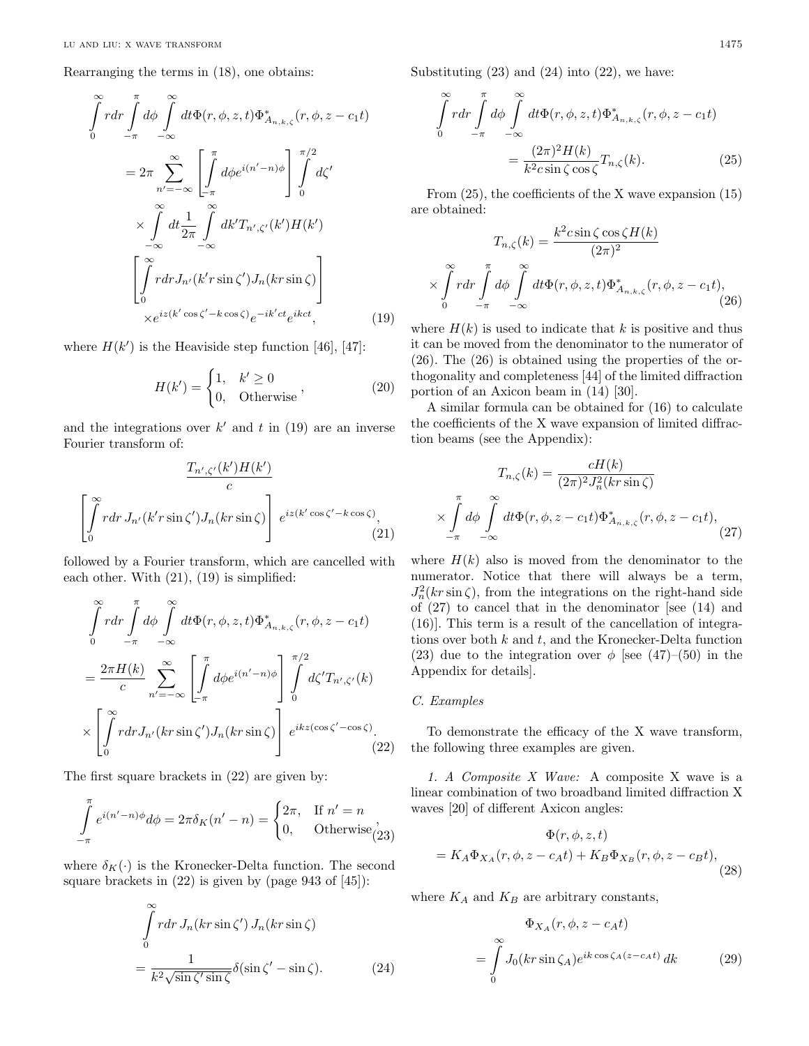Rearranging the terms in (18), one obtains:

$$
\int_{0}^{\infty} r dr \int_{-\pi}^{\pi} d\phi \int_{-\infty}^{\infty} dt \Phi(r, \phi, z, t) \Phi_{A_{n,k,\zeta}}^{*}(r, \phi, z - c_{1}t)
$$
  

$$
= 2\pi \sum_{n' = -\infty}^{\infty} \left[ \int_{-\pi}^{\pi} d\phi e^{i(n' - n)\phi} \right] \int_{0}^{\pi/2} d\zeta'
$$
  

$$
\times \int_{-\infty}^{\infty} dt \frac{1}{2\pi} \int_{-\infty}^{\infty} dk' T_{n',\zeta'}(k') H(k')
$$
  

$$
\left[ \int_{0}^{\infty} r dr J_{n'}(k' r \sin \zeta') J_{n}(k r \sin \zeta) \right]
$$
  

$$
\times e^{iz(k' \cos \zeta' - k \cos \zeta)} e^{-ik'ct} e^{ikct}, \qquad (19)
$$

where  $H(k')$  is the Heaviside step function [46], [47]:

$$
H(k') = \begin{cases} 1, & k' \ge 0 \\ 0, & \text{Otherwise} \end{cases}
$$
 (20)

and the integrations over  $k'$  and t in (19) are an inverse Fourier transform of:

$$
\frac{T_{n',\zeta'}(k')H(k')}{c}
$$

$$
\left[\int_{0}^{\infty} r dr J_{n'}(k' r \sin \zeta') J_{n}(k r \sin \zeta)\right] e^{iz(k' \cos \zeta' - k \cos \zeta)},
$$
(21)

followed by a Fourier transform, which are cancelled with each other. With  $(21)$ ,  $(19)$  is simplified:

$$
\int_{0}^{\infty} r dr \int_{-\pi}^{\pi} d\phi \int_{-\infty}^{\infty} dt \Phi(r, \phi, z, t) \Phi_{A_{n,k,\zeta}}^{*}(r, \phi, z - c_1 t)
$$

$$
= \frac{2\pi H(k)}{c} \sum_{n'=-\infty}^{\infty} \left[ \int_{-\pi}^{\pi} d\phi e^{i(n'-n)\phi} \right] \int_{0}^{\pi/2} d\zeta' T_{n',\zeta'}(k)
$$

$$
\times \left[ \int_{0}^{\infty} r dr J_{n'}(kr \sin \zeta') J_{n}(kr \sin \zeta) \right] e^{ikz(\cos \zeta' - \cos \zeta)}.
$$
(22)

The first square brackets in (22) are given by:

$$
\int_{-\pi}^{\pi} e^{i(n'-n)\phi} d\phi = 2\pi \delta_K(n'-n) = \begin{cases} 2\pi, & \text{If } n'=n\\ 0, & \text{Otherwise} \end{cases}
$$

where  $\delta_K(\cdot)$  is the Kronecker-Delta function. The second square brackets in  $(22)$  is given by (page 943 of  $[45]$ ):

$$
\int_{0}^{\infty} r dr J_n(kr \sin \zeta') J_n(kr \sin \zeta)
$$

$$
= \frac{1}{k^2 \sqrt{\sin \zeta' \sin \zeta}} \delta(\sin \zeta' - \sin \zeta). \tag{24}
$$

Substituting  $(23)$  and  $(24)$  into  $(22)$ , we have:

$$
\int_{0}^{\infty} r dr \int_{-\pi}^{\pi} d\phi \int_{-\infty}^{\infty} dt \Phi(r, \phi, z, t) \Phi_{A_{n,k,\zeta}}^{*}(r, \phi, z - c_1 t)
$$

$$
= \frac{(2\pi)^2 H(k)}{k^2 c \sin \zeta \cos \zeta} T_{n,\zeta}(k). \tag{25}
$$

From (25), the coefficients of the X wave expansion (15) are obtained:

$$
T_{n,\zeta}(k) = \frac{k^2 c \sin \zeta \cos \zeta H(k)}{(2\pi)^2}
$$

$$
\times \int_{0}^{\infty} r dr \int_{-\pi}^{\pi} d\phi \int_{-\infty}^{\infty} dt \Phi(r, \phi, z, t) \Phi_{A_{n,k,\zeta}}^{*}(r, \phi, z - c_1 t), \qquad (26)
$$

where  $H(k)$  is used to indicate that k is positive and thus it can be moved from the denominator to the numerator of (26). The (26) is obtained using the properties of the orthogonality and completeness [44] of the limited diffraction portion of an Axicon beam in (14) [30].

A similar formula can be obtained for (16) to calculate the coefficients of the X wave expansion of limited diffraction beams (see the Appendix):

$$
T_{n,\zeta}(k) = \frac{cH(k)}{(2\pi)^2 J_n^2(kr\sin\zeta)}
$$

$$
\times \int\limits_{-\pi}^{\pi} d\phi \int\limits_{-\infty}^{\infty} dt \Phi(r,\phi,z-c_1t) \Phi^*_{A_{n,k,\zeta}}(r,\phi,z-c_1t), \tag{27}
$$

where  $H(k)$  also is moved from the denominator to the numerator. Notice that there will always be a term,  $J_n^2(kr\sin\zeta)$ , from the integrations on the right-hand side of  $(27)$  to cancel that in the denominator [see  $(14)$  and (16)]. This term is a result of the cancellation of integrations over both  $k$  and  $t$ , and the Kronecker-Delta function (23) due to the integration over  $\phi$  [see (47)–(50) in the Appendix for details].

## C. Examples

To demonstrate the efficacy of the X wave transform, the following three examples are given.

1. A Composite X Wave: A composite X wave is a linear combination of two broadband limited diffraction X waves [20] of different Axicon angles:

$$
\Phi(r, \phi, z, t)
$$
  
=  $K_A \Phi_{X_A}(r, \phi, z - c_A t) + K_B \Phi_{X_B}(r, \phi, z - c_B t),$  (28)

where  $K_A$  and  $K_B$  are arbitrary constants,

$$
\Phi_{X_A}(r, \phi, z - c_A t)
$$
\n
$$
= \int_0^\infty J_0(kr \sin \zeta_A) e^{ik \cos \zeta_A(z - c_A t)} dk
$$
\n(29)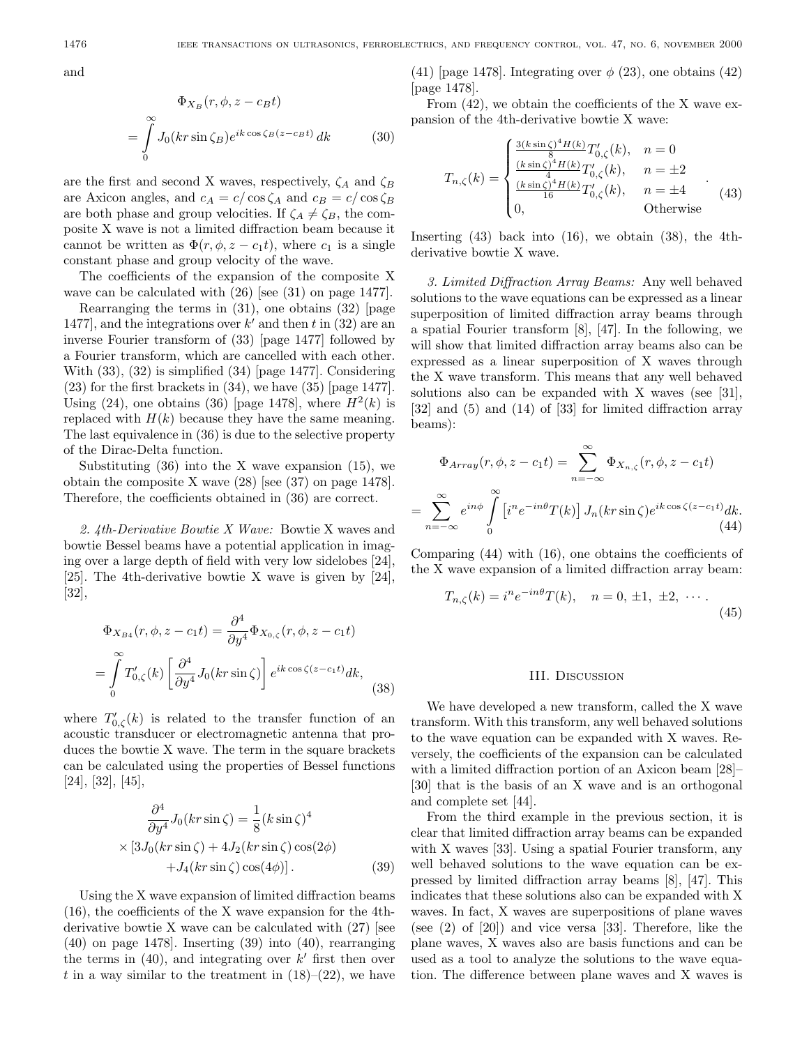and

$$
\Phi_{X_B}(r, \phi, z - c_B t)
$$
\n
$$
= \int_{0}^{\infty} J_0(kr \sin \zeta_B) e^{ik \cos \zeta_B(z - c_B t)} dk \tag{30}
$$

are the first and second X waves, respectively,  $\zeta_A$  and  $\zeta_B$ are Axicon angles, and  $c_A = c/\cos\zeta_A$  and  $c_B = c/\cos\zeta_B$ are both phase and group velocities. If  $\zeta_A \neq \zeta_B$ , the composite X wave is not a limited diffraction beam because it cannot be written as  $\Phi(r, \phi, z - c_1 t)$ , where  $c_1$  is a single constant phase and group velocity of the wave.

The coefficients of the expansion of the composite X wave can be calculated with  $(26)$  [see  $(31)$  on page 1477].

Rearranging the terms in (31), one obtains (32) [page 1477, and the integrations over  $k'$  and then t in (32) are an inverse Fourier transform of (33) [page 1477] followed by a Fourier transform, which are cancelled with each other. With  $(33)$ ,  $(32)$  is simplified  $(34)$  [page 1477]. Considering  $(23)$  for the first brackets in  $(34)$ , we have  $(35)$  [page 1477]. Using (24), one obtains (36) [page 1478], where  $H<sup>2</sup>(k)$  is replaced with  $H(k)$  because they have the same meaning. The last equivalence in (36) is due to the selective property of the Dirac-Delta function.

Substituting  $(36)$  into the X wave expansion  $(15)$ , we obtain the composite X wave (28) [see (37) on page 1478]. Therefore, the coefficients obtained in (36) are correct.

2. 4th-Derivative Bowtie X Wave: Bowtie X waves and bowtie Bessel beams have a potential application in imaging over a large depth of field with very low sidelobes  $[24]$ , [25]. The 4th-derivative bowtie X wave is given by [24], [32],

$$
\Phi_{X_{B4}}(r,\phi,z-c_1t) = \frac{\partial^4}{\partial y^4} \Phi_{X_{0,\zeta}}(r,\phi,z-c_1t)
$$

$$
= \int_0^\infty T'_{0,\zeta}(k) \left[ \frac{\partial^4}{\partial y^4} J_0(kr\sin\zeta) \right] e^{ik\cos\zeta(z-c_1t)} dk,
$$
(38)

where  $T'_{0,\zeta}(k)$  is related to the transfer function of an acoustic transducer or electromagnetic antenna that produces the bowtie X wave. The term in the square brackets can be calculated using the properties of Bessel functions [24], [32], [45],

$$
\frac{\partial^4}{\partial y^4} J_0(kr\sin\zeta) = \frac{1}{8} (k\sin\zeta)^4
$$
  
×[3J<sub>0</sub>(kr sin \zeta) + 4J<sub>2</sub>(kr sin \zeta) cos(2\phi)  
+J<sub>4</sub>(kr sin \zeta) cos(4\phi)]. (39)

Using the X wave expansion of limited diffraction beams (16), the coefficients of the X wave expansion for the 4thderivative bowtie X wave can be calculated with  $(27)$  [see (40) on page 1478]. Inserting (39) into (40), rearranging the terms in  $(40)$ , and integrating over k' first then over t in a way similar to the treatment in  $(18)–(22)$ , we have

(41) [page 1478]. Integrating over  $\phi$  (23), one obtains (42) [page 1478].

From (42), we obtain the coefficients of the X wave expansion of the 4th-derivative bowtie X wave:

$$
T_{n,\zeta}(k) = \begin{cases} \frac{3(k\sin\zeta)^4 H(k)}{8} T'_{0,\zeta}(k), & n = 0\\ \frac{(k\sin\zeta)^4 H(k)}{4} T'_{0,\zeta}(k), & n = \pm 2\\ \frac{(k\sin\zeta)^4 H(k)}{16} T'_{0,\zeta}(k), & n = \pm 4\\ 0, & \text{Otherwise} \end{cases}
$$
(43)

Inserting  $(43)$  back into  $(16)$ , we obtain  $(38)$ , the 4thderivative bowtie X wave.

3. Limited Diffraction Array Beams: Any well behaved solutions to the wave equations can be expressed as a linear superposition of limited diffraction array beams through a spatial Fourier transform [8], [47]. In the following, we will show that limited diffraction array beams also can be expressed as a linear superposition of X waves through the X wave transform. This means that any well behaved solutions also can be expanded with X waves (see [31], [32] and (5) and (14) of [33] for limited diffraction array beams):

$$
\Phi_{Array}(r, \phi, z - c_1 t) = \sum_{n = -\infty}^{\infty} \Phi_{X_{n,\zeta}}(r, \phi, z - c_1 t)
$$

$$
= \sum_{n = -\infty}^{\infty} e^{in\phi} \int_{0}^{\infty} \left[ i^n e^{-in\theta} T(k) \right] J_n(kr \sin \zeta) e^{ik \cos \zeta (z - c_1 t)} dk. \tag{44}
$$

Comparing  $(44)$  with  $(16)$ , one obtains the coefficients of the X wave expansion of a limited diffraction array beam:

$$
T_{n,\zeta}(k) = i^n e^{-in\theta} T(k), \quad n = 0, \pm 1, \pm 2, \cdots
$$
 (45)

### III. Discussion

We have developed a new transform, called the X wave transform. With this transform, any well behaved solutions to the wave equation can be expanded with X waves. Reversely, the coefficients of the expansion can be calculated with a limited diffraction portion of an Axicon beam [28]– [30] that is the basis of an X wave and is an orthogonal and complete set [44].

From the third example in the previous section, it is clear that limited diffraction array beams can be expanded with  $X$  waves [33]. Using a spatial Fourier transform, any well behaved solutions to the wave equation can be expressed by limited diffraction array beams [8], [47]. This indicates that these solutions also can be expanded with X waves. In fact, X waves are superpositions of plane waves (see (2) of [20]) and vice versa [33]. Therefore, like the plane waves, X waves also are basis functions and can be used as a tool to analyze the solutions to the wave equation. The difference between plane waves and X waves is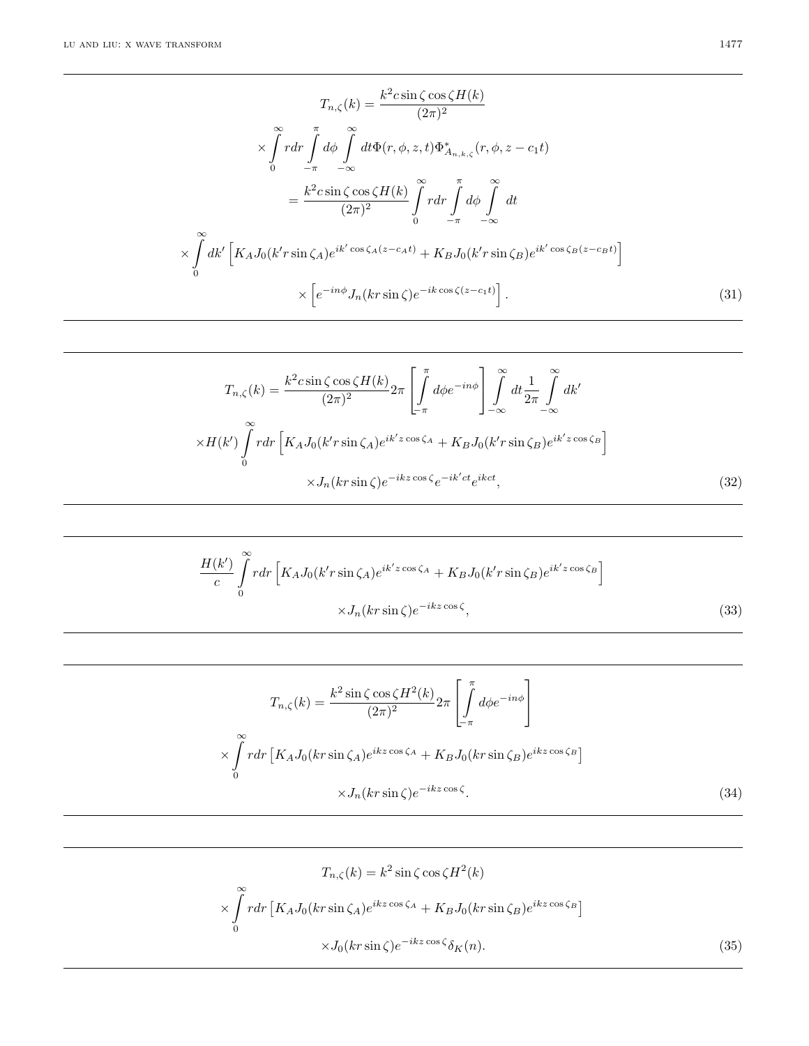$$
T_{n,\zeta}(k) = \frac{k^2 c \sin \zeta \cos \zeta H(k)}{(2\pi)^2}
$$

$$
\times \int_0^\infty r dr \int_0^\pi d\phi \int_{-\pi}^\phi dt \Phi(r,\phi,z,t) \Phi_{A_{n,k,\zeta}}^*(r,\phi,z-c_1t)
$$

$$
= \frac{k^2 c \sin \zeta \cos \zeta H(k)}{(2\pi)^2} \int_0^\pi r dr \int_{-\pi}^\pi d\phi \int_{-\infty}^\infty dt
$$

$$
\times \int_0^\infty dk' \left[ K_A J_0(k' r \sin \zeta_A) e^{ik' \cos \zeta_A(z-c_A t)} + K_B J_0(k' r \sin \zeta_B) e^{ik' \cos \zeta_B(z-c_B t)} \right]
$$

$$
\times \left[ e^{-in\phi} J_n(k r \sin \zeta) e^{-ik \cos \zeta(z-c_1 t)} \right]. \tag{31}
$$

$$
T_{n,\zeta}(k) = \frac{k^2 c \sin \zeta \cos \zeta H(k)}{(2\pi)^2} 2\pi \left[ \int_{-\pi}^{\pi} d\phi e^{-in\phi} \right] \int_{-\infty}^{\infty} dt \frac{1}{2\pi} \int_{-\infty}^{\infty} dk'
$$

$$
\times H(k') \int_{0}^{\infty} r dr \left[ K_A J_0(k' r \sin \zeta_A) e^{ik'z \cos \zeta_A} + K_B J_0(k' r \sin \zeta_B) e^{ik'z \cos \zeta_B} \right]
$$

$$
\times J_n(k r \sin \zeta) e^{-ikz \cos \zeta} e^{-ik'ct} e^{ikct}, \tag{32}
$$

$$
\frac{H(k')}{c} \int_{0}^{\infty} r dr \left[ K_A J_0(k' r \sin \zeta_A) e^{ik'z \cos \zeta_A} + K_B J_0(k' r \sin \zeta_B) e^{ik'z \cos \zeta_B} \right]
$$

$$
\times J_n(k r \sin \zeta) e^{-ikz \cos \zeta}, \tag{33}
$$

$$
T_{n,\zeta}(k) = \frac{k^2 \sin \zeta \cos \zeta H^2(k)}{(2\pi)^2} 2\pi \left[ \int_{-\pi}^{\pi} d\phi e^{-in\phi} \right]
$$

$$
\times \int_{0}^{\infty} r dr \left[ K_A J_0(kr \sin \zeta_A) e^{ikz \cos \zeta_A} + K_B J_0(kr \sin \zeta_B) e^{ikz \cos \zeta_B} \right]
$$

$$
\times J_n(kr \sin \zeta) e^{-ikz \cos \zeta}.
$$
(34)

$$
T_{n,\zeta}(k) = k^2 \sin \zeta \cos \zeta H^2(k)
$$

$$
\times \int_0^\infty r dr \left[ K_A J_0(kr \sin \zeta_A) e^{ikz \cos \zeta_A} + K_B J_0(kr \sin \zeta_B) e^{ikz \cos \zeta_B} \right]
$$

$$
\times J_0(kr \sin \zeta) e^{-ikz \cos \zeta} \delta_K(n). \tag{35}
$$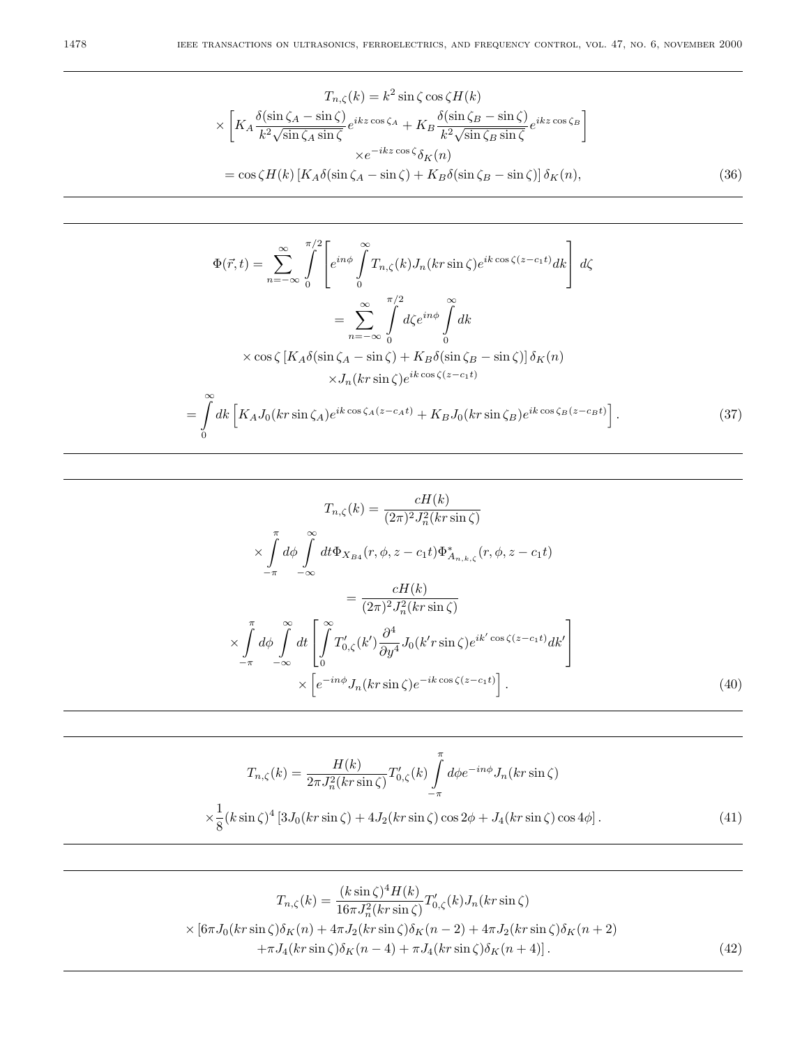$$
T_{n,\zeta}(k) = k^2 \sin \zeta \cos \zeta H(k)
$$
  
\n
$$
\times \left[ K_A \frac{\delta(\sin \zeta_A - \sin \zeta)}{k^2 \sqrt{\sin \zeta_A \sin \zeta}} e^{ikz \cos \zeta_A} + K_B \frac{\delta(\sin \zeta_B - \sin \zeta)}{k^2 \sqrt{\sin \zeta_B \sin \zeta}} e^{ikz \cos \zeta_B} \right]
$$
  
\n
$$
\times e^{-ikz \cos \zeta} \delta_K(n)
$$
  
\n
$$
= \cos \zeta H(k) \left[ K_A \delta(\sin \zeta_A - \sin \zeta) + K_B \delta(\sin \zeta_B - \sin \zeta) \right] \delta_K(n),
$$
 (36)

$$
\Phi(\vec{r},t) = \sum_{n=-\infty}^{\infty} \int_{0}^{\pi/2} \left[ e^{in\phi} \int_{0}^{\infty} T_{n,\zeta}(k) J_n(kr\sin\zeta) e^{ik\cos\zeta(z-c_1t)} dk \right] d\zeta
$$

$$
= \sum_{n=-\infty}^{\infty} \int_{0}^{\pi/2} d\zeta e^{in\phi} \int_{0}^{\infty} dk
$$

$$
\times \cos\zeta \left[ K_A \delta(\sin\zeta_A - \sin\zeta) + K_B \delta(\sin\zeta_B - \sin\zeta) \right] \delta_K(n)
$$

$$
\times J_n(kr\sin\zeta) e^{ik\cos\zeta(z-c_1t)}
$$

$$
= \int_{0}^{\infty} dk \left[ K_A J_0(kr\sin\zeta_A) e^{ik\cos\zeta_A(z-c_At)} + K_B J_0(kr\sin\zeta_B) e^{ik\cos\zeta_B(z-c_Bt)} \right].
$$
(37)

$$
T_{n,\zeta}(k) = \frac{cH(k)}{(2\pi)^2 J_n^2(kr\sin\zeta)}
$$

$$
\times \int_{-\pi}^{\pi} d\phi \int_{-\infty}^{\infty} dt \Phi_{X_{B4}}(r,\phi,z-c_1t) \Phi_{A_{n,k,\zeta}}^*(r,\phi,z-c_1t)
$$

$$
= \frac{cH(k)}{(2\pi)^2 J_n^2(kr\sin\zeta)}
$$

$$
\times \int_{-\pi}^{\pi} d\phi \int_{-\infty}^{\infty} dt \left[ \int_{0}^{\infty} T'_{0,\zeta}(k') \frac{\partial^4}{\partial y^4} J_0(k'r\sin\zeta) e^{ik'\cos\zeta(z-c_1t)} dk' \right]
$$

$$
\times \left[ e^{-in\phi} J_n(kr\sin\zeta) e^{-ik\cos\zeta(z-c_1t)} \right]. \tag{40}
$$

$$
T_{n,\zeta}(k) = \frac{H(k)}{2\pi J_n^2(kr\sin\zeta)} T'_{0,\zeta}(k) \int\limits_{-\pi}^{\pi} d\phi e^{-in\phi} J_n(kr\sin\zeta)
$$
  

$$
\frac{1}{8} (k\sin\zeta)^4 \left[3J_0(kr\sin\zeta) + 4J_2(kr\sin\zeta)\cos 2\phi + J_4(kr\sin\zeta)\cos 4\phi\right].
$$
 (41)

$$
T_{n,\zeta}(k) = \frac{(k \sin \zeta)^4 H(k)}{16\pi J_n^2(kr \sin \zeta)} T'_{0,\zeta}(k) J_n(kr \sin \zeta)
$$
  
 
$$
\times [6\pi J_0(kr \sin \zeta) \delta_K(n) + 4\pi J_2(kr \sin \zeta) \delta_K(n-2) + 4\pi J_2(kr \sin \zeta) \delta_K(n+2) + \pi J_4(kr \sin \zeta) \delta_K(n-4) + \pi J_4(kr \sin \zeta) \delta_K(n+4)].
$$
 (42)

 $\times$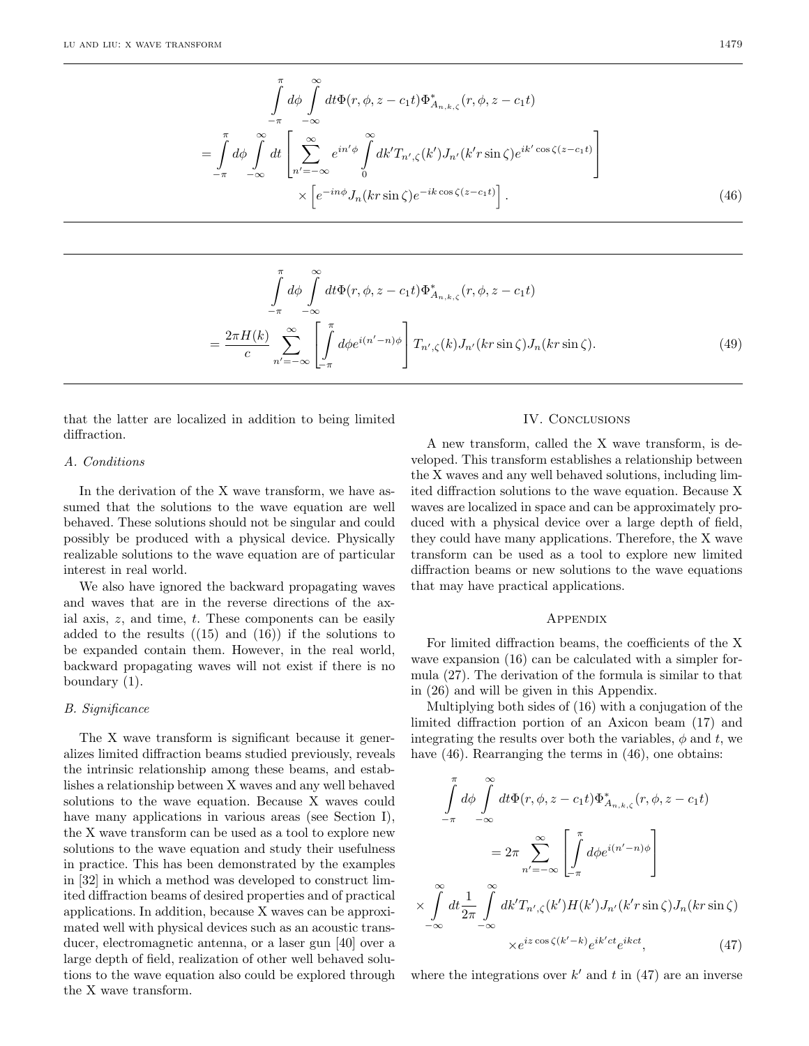$$
\int_{-\pi}^{\pi} d\phi \int_{-\infty}^{\infty} dt \Phi(r, \phi, z - c_1 t) \Phi_{A_{n,k,\zeta}}^*(r, \phi, z - c_1 t)
$$
\n
$$
= \int_{-\pi}^{\pi} d\phi \int_{-\infty}^{\infty} dt \left[ \sum_{n' = -\infty}^{\infty} e^{in' \phi} \int_{0}^{\infty} dk' T_{n',\zeta}(k') J_{n'}(k' r \sin \zeta) e^{ik' \cos \zeta(z - c_1 t)} \right]
$$
\n
$$
\times \left[ e^{-in\phi} J_n(k r \sin \zeta) e^{-ik \cos \zeta(z - c_1 t)} \right].
$$
\n(46)

$$
\int_{-\pi}^{\pi} d\phi \int_{-\infty}^{\infty} dt \Phi(r, \phi, z - c_1 t) \Phi_{A_{n,k,\zeta}}^*(r, \phi, z - c_1 t)
$$
\n
$$
= \frac{2\pi H(k)}{c} \sum_{n'=-\infty}^{\infty} \left[ \int_{-\pi}^{\pi} d\phi e^{i(n'-n)\phi} \right] T_{n',\zeta}(k) J_{n'}(kr \sin \zeta) J_n(kr \sin \zeta).
$$
\n(49)

that the latter are localized in addition to being limited diffraction.

## A. Conditions

In the derivation of the X wave transform, we have assumed that the solutions to the wave equation are well behaved. These solutions should not be singular and could possibly be produced with a physical device. Physically realizable solutions to the wave equation are of particular interest in real world.

We also have ignored the backward propagating waves and waves that are in the reverse directions of the axial axis,  $z$ , and time,  $t$ . These components can be easily added to the results  $((15)$  and  $(16))$  if the solutions to be expanded contain them. However, in the real world, backward propagating waves will not exist if there is no boundary (1).

## B. Significance

The X wave transform is significant because it generalizes limited diffraction beams studied previously, reveals the intrinsic relationship among these beams, and establishes a relationship between X waves and any well behaved solutions to the wave equation. Because X waves could have many applications in various areas (see Section I), the X wave transform can be used as a tool to explore new solutions to the wave equation and study their usefulness in practice. This has been demonstrated by the examples in [32] in which a method was developed to construct limited diffraction beams of desired properties and of practical applications. In addition, because X waves can be approximated well with physical devices such as an acoustic transducer, electromagnetic antenna, or a laser gun [40] over a large depth of field, realization of other well behaved solutions to the wave equation also could be explored through the X wave transform.

## IV. Conclusions

A new transform, called the X wave transform, is developed. This transform establishes a relationship between the X waves and any well behaved solutions, including limited diffraction solutions to the wave equation. Because X waves are localized in space and can be approximately produced with a physical device over a large depth of field, they could have many applications. Therefore, the X wave transform can be used as a tool to explore new limited diffraction beams or new solutions to the wave equations that may have practical applications.

#### Appendix

For limited diffraction beams, the coefficients of the X wave expansion  $(16)$  can be calculated with a simpler formula (27). The derivation of the formula is similar to that in (26) and will be given in this Appendix.

Multiplying both sides of  $(16)$  with a conjugation of the limited diffraction portion of an Axicon beam (17) and integrating the results over both the variables,  $\phi$  and t, we have  $(46)$ . Rearranging the terms in  $(46)$ , one obtains:

$$
\int_{-\pi}^{\pi} d\phi \int_{-\infty}^{\infty} dt \Phi(r, \phi, z - c_1 t) \Phi_{A_{n,k,\zeta}}^*(r, \phi, z - c_1 t)
$$

$$
= 2\pi \sum_{n' = -\infty}^{\infty} \left[ \int_{-\pi}^{\pi} d\phi e^{i(n' - n)\phi} \right]
$$

$$
\times \int_{-\infty}^{\infty} dt \frac{1}{2\pi} \int_{-\infty}^{\infty} dk' T_{n',\zeta}(k') H(k') J_{n'}(k' r \sin \zeta) J_n(k r \sin \zeta)
$$

$$
\times e^{iz \cos \zeta(k' - k)} e^{ik'ct} e^{ikct}, \qquad (47)
$$

where the integrations over  $k'$  and t in (47) are an inverse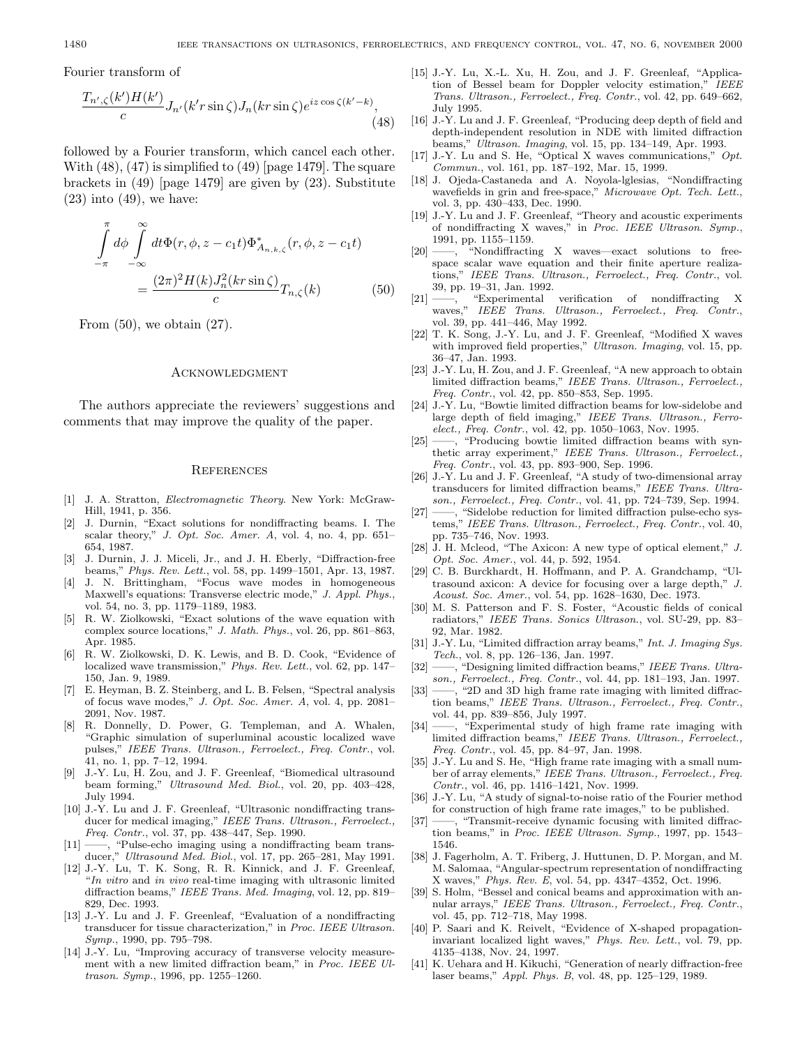Fourier transform of

$$
\frac{T_{n',\zeta}(k')H(k')}{c}J_{n'}(k'r\sin\zeta)J_n(kr\sin\zeta)e^{iz\cos\zeta(k'-k)},\tag{48}
$$

followed by a Fourier transform, which cancel each other. With  $(48)$ ,  $(47)$  is simplified to  $(49)$  [page 1479]. The square brackets in (49) [page 1479] are given by (23). Substitute  $(23)$  into  $(49)$ , we have:

$$
\int_{-\pi}^{\pi} d\phi \int_{-\infty}^{\infty} dt \Phi(r, \phi, z - c_1 t) \Phi_{A_{n,k,\zeta}}^*(r, \phi, z - c_1 t)
$$

$$
= \frac{(2\pi)^2 H(k) J_n^2(kr \sin \zeta)}{c} T_{n,\zeta}(k) \tag{50}
$$

From  $(50)$ , we obtain  $(27)$ .

#### **ACKNOWLEDGMENT**

The authors appreciate the reviewers' suggestions and comments that may improve the quality of the paper.

#### **REFERENCES**

- [1] J. A. Stratton, Electromagnetic Theory. New York: McGraw-Hill, 1941, p. 356.
- [2] J. Durnin, "Exact solutions for nondiffractingbeams. I. The scalar theory," J. Opt. Soc. Amer. A, vol. 4, no. 4, pp. 651– 654, 1987.
- [3] J. Durnin, J. J. Miceli, Jr., and J. H. Eberly, "Diffraction-free beams," Phys. Rev. Lett., vol. 58, pp. 1499–1501, Apr. 13, 1987.
- [4] J. N. Brittingham, "Focus wave modes in homogeneous Maxwell's equations: Transverse electric mode," J. Appl. Phys., vol. 54, no. 3, pp. 1179–1189, 1983.
- [5] R. W. Ziolkowski, "Exact solutions of the wave equation with complex source locations," J. Math. Phys., vol. 26, pp. 861–863, Apr. 1985.
- [6] R. W. Ziolkowski, D. K. Lewis, and B. D. Cook, "Evidence of localized wave transmission," Phys. Rev. Lett., vol. 62, pp. 147– 150, Jan. 9, 1989.
- [7] E. Heyman, B. Z. Steinberg, and L. B. Felsen, "Spectral analysis of focus wave modes," J. Opt. Soc. Amer. A, vol. 4, pp. 2081– 2091, Nov. 1987.
- [8] R. Donnelly, D. Power, G. Templeman, and A. Whalen, "Graphic simulation of superluminal acoustic localized wave pulses," IEEE Trans. Ultrason., Ferroelect., Freq. Contr., vol. 41, no. 1, pp. 7–12, 1994.
- [9] J.-Y. Lu, H. Zou, and J. F. Greenleaf, "Biomedical ultrasound beam forming," Ultrasound Med. Biol., vol. 20, pp. 403–428, July 1994.
- [10] J.-Y. Lu and J. F. Greenleaf, "Ultrasonic nondiffracting transducer for medical imaging," IEEE Trans. Ultrason., Ferroelect., Freq. Contr., vol. 37, pp. 438–447, Sep. 1990.
- $[11]$  ——, "Pulse-echo imaging using a nondiffracting beam transducer," Ultrasound Med. Biol., vol. 17, pp. 265–281, May 1991.
- [12] J.-Y. Lu, T. K. Song, R. R. Kinnick, and J. F. Greenleaf, "In vitro and in vivo real-time imaging with ultrasonic limited diffraction beams," IEEE Trans. Med. Imaging, vol. 12, pp. 819– 829, Dec. 1993.
- [13] J.-Y. Lu and J. F. Greenleaf, "Evaluation of a nondiffracting transducer for tissue characterization," in Proc. IEEE Ultrason. Symp., 1990, pp. 795–798.
- [14] J.-Y. Lu, "Improving accuracy of transverse velocity measurement with a new limited diffraction beam," in Proc. IEEE Ultrason. Symp., 1996, pp. 1255–1260.
- [15] J.-Y. Lu, X.-L. Xu, H. Zou, and J. F. Greenleaf, "Application of Bessel beam for Doppler velocity estimation," IEEE Trans. Ultrason., Ferroelect., Freq. Contr., vol. 42, pp. 649–662, July 1995.
- [16] J.-Y. Lu and J. F. Greenleaf, "Producing deep depth of field and depth-independent resolution in NDE with limited diffraction beams," Ultrason. Imaging, vol. 15, pp. 134–149, Apr. 1993.
- [17] J.-Y. Lu and S. He, "Optical X waves communications," Opt. Commun., vol. 161, pp. 187–192, Mar. 15, 1999.
- [18] J. Ojeda-Castaneda and A. Noyola-lglesias, "Nondiffracting wavefields in grin and free-space," Microwave Opt. Tech. Lett., vol. 3, pp. 430–433, Dec. 1990.
- [19] J.-Y. Lu and J. F. Greenleaf, "Theory and acoustic experiments of nondiffracting X waves," in Proc. IEEE Ultrason. Symp., 1991, pp. 1155–1159.
- [20] ——, "Nondiffracting X waves—exact solutions to freespace scalar wave equation and their finite aperture realizations," IEEE Trans. Ultrason., Ferroelect., Freq. Contr., vol. 39, pp. 19–31, Jan. 1992.
- [21] ——, "Experimental verification of nondiffracting X waves," IEEE Trans. Ultrason., Ferroelect., Freq. Contr., vol. 39, pp. 441–446, May 1992.
- [22] T. K. Song, J.-Y. Lu, and J. F. Greenleaf, "Modified X waves with improved field properties," Ultrason. Imaging, vol. 15, pp. 36–47, Jan. 1993.
- [23] J.-Y. Lu, H. Zou, and J. F. Greenleaf, "A new approach to obtain limited diffraction beams," IEEE Trans. Ultrason., Ferroelect., Freq. Contr., vol. 42, pp. 850–853, Sep. 1995.
- [24] J.-Y. Lu, "Bowtie limited diffraction beams for low-sidelobe and large depth of field imaging," IEEE Trans. Ultrason., Ferroelect., Freq. Contr., vol. 42, pp. 1050–1063, Nov. 1995.
- [25] ——, "Producing bowtie limited diffraction beams with synthetic array experiment," IEEE Trans. Ultrason., Ferroelect., Freq. Contr., vol. 43, pp. 893–900, Sep. 1996.
- [26] J.-Y. Lu and J. F. Greenleaf, "A study of two-dimensional array transducers for limited diffraction beams," IEEE Trans. Ultrason., Ferroelect., Freq. Contr., vol. 41, pp. 724–739, Sep. 1994.
- [27] ——, "Sidelobe reduction for limited diffraction pulse-echo systems," IEEE Trans. Ultrason., Ferroelect., Freq. Contr., vol. 40, pp. 735–746, Nov. 1993.
- [28] J. H. Mcleod, "The Axicon: A new type of optical element," J. Opt. Soc. Amer., vol. 44, p. 592, 1954.
- [29] C. B. Burckhardt, H. Hoffmann, and P. A. Grandchamp, "Ultrasound axicon: A device for focusing over a large depth," J. Acoust. Soc. Amer., vol. 54, pp. 1628–1630, Dec. 1973.
- [30] M. S. Patterson and F. S. Foster, "Acoustic fields of conical radiators," IEEE Trans. Sonics Ultrason., vol. SU-29, pp. 83– 92, Mar. 1982.
- [31] J.-Y. Lu, "Limited diffraction array beams," Int. J. Imaging Sys. Tech., vol. 8, pp. 126–136, Jan. 1997.
- [32] ——, "Designing limited diffraction beams," IEEE Trans. Ultrason., Ferroelect., Freq. Contr., vol. 44, pp. 181–193, Jan. 1997.
- [33] ——, "2D and 3D high frame rate imaging with limited diffraction beams," IEEE Trans. Ultrason., Ferroelect., Freq. Contr., vol. 44, pp. 839–856, July 1997.
- [34] ——, "Experimental study of high frame rate imaging with limited diffraction beams," IEEE Trans. Ultrason., Ferroelect., Freq. Contr., vol. 45, pp. 84–97, Jan. 1998.
- [35] J.-Y. Lu and S. He, "High frame rate imaging with a small number of array elements," IEEE Trans. Ultrason., Ferroelect., Freq. Contr., vol. 46, pp. 1416–1421, Nov. 1999.
- [36] J.-Y. Lu, "A study of signal-to-noise ratio of the Fourier method for construction of high frame rate images," to be published.
- [37] ——, "Transmit-receive dynamic focusing with limited diffraction beams," in Proc. IEEE Ultrason. Symp., 1997, pp. 1543– 1546.
- [38] J. Fagerholm, A. T. Friberg, J. Huttunen, D. P. Morgan, and M. M. Salomaa, "Angular-spectrum representation of nondiffracting X waves," Phys. Rev. E, vol. 54, pp. 4347–4352, Oct. 1996.
- [39] S. Holm, "Bessel and conical beams and approximation with annular arrays," IEEE Trans. Ultrason., Ferroelect., Freq. Contr., vol. 45, pp. 712–718, May 1998.
- [40] P. Saari and K. Reivelt, "Evidence of X-shaped propagationinvariant localized light waves," Phys. Rev. Lett., vol. 79, pp. 4135–4138, Nov. 24, 1997.
- [41] K. Uehara and H. Kikuchi, "Generation of nearly diffraction-free laser beams," Appl. Phys. B, vol. 48, pp. 125–129, 1989.